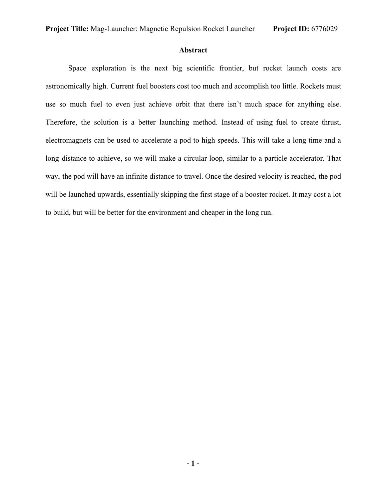#### **Abstract**

Space exploration is the next big scientific frontier, but rocket launch costs are astronomically high. Current fuel boosters cost too much and accomplish too little. Rockets must use so much fuel to even just achieve orbit that there isn't much space for anything else. Therefore, the solution is a better launching method. Instead of using fuel to create thrust, electromagnets can be used to accelerate a pod to high speeds. This will take a long time and a long distance to achieve, so we will make a circular loop, similar to a particle accelerator. That way, the pod will have an infinite distance to travel. Once the desired velocity is reached, the pod will be launched upwards, essentially skipping the first stage of a booster rocket. It may cost a lot to build, but will be better for the environment and cheaper in the long run.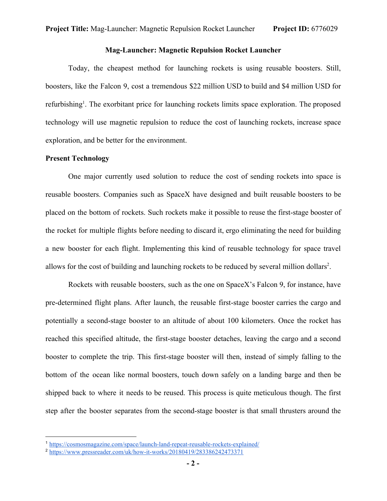#### **Mag-Launcher: Magnetic Repulsion Rocket Launcher**

Today, the cheapest method for launching rockets is using reusable boosters. Still, boosters, like the Falcon 9, cost a tremendous \$22 million USD to build and \$4 million USD for refurbishing<sup>1</sup>. The exorbitant price for launching rockets limits space exploration. The proposed technology will use magnetic repulsion to reduce the cost of launching rockets, increase space exploration, and be better for the environment.

#### **Present Technology**

One major currently used solution to reduce the cost of sending rockets into space is reusable boosters. Companies such as SpaceX have designed and built reusable boosters to be placed on the bottom of rockets. Such rockets make it possible to reuse the first-stage booster of the rocket for multiple flights before needing to discard it, ergo eliminating the need for building a new booster for each flight. Implementing this kind of reusable technology for space travel allows for the cost of building and launching rockets to be reduced by several million dollars<sup>2</sup>.

Rockets with reusable boosters, such as the one on SpaceX's Falcon 9, for instance, have pre-determined flight plans. After launch, the reusable first-stage booster carries the cargo and potentially a second-stage booster to an altitude of about 100 kilometers. Once the rocket has reached this specified altitude, the first-stage booster detaches, leaving the cargo and a second booster to complete the trip. This first-stage booster will then, instead of simply falling to the bottom of the ocean like normal boosters, touch down safely on a landing barge and then be shipped back to where it needs to be reused. This process is quite meticulous though. The first step after the booster separates from the second-stage booster is that small thrusters around the

<sup>1</sup> https://cosmosmagazine.com/space/launch-land-repeat-reusable-rockets-explained/

<sup>2</sup> https://www.pressreader.com/uk/how-it-works/20180419/283386242473371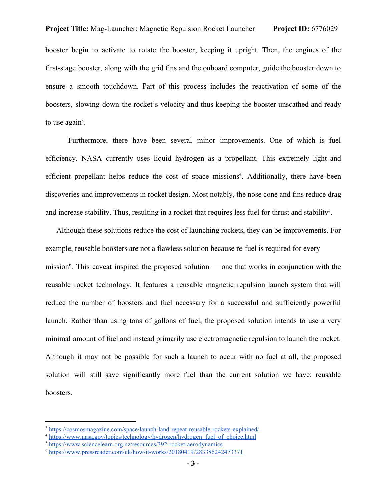booster begin to activate to rotate the booster, keeping it upright. Then, the engines of the first-stage booster, along with the grid fins and the onboard computer, guide the booster down to ensure a smooth touchdown. Part of this process includes the reactivation of some of the boosters, slowing down the rocket's velocity and thus keeping the booster unscathed and ready to use again<sup>3</sup>.

Furthermore, there have been several minor improvements. One of which is fuel efficiency. NASA currently uses liquid hydrogen as a propellant. This extremely light and efficient propellant helps reduce the cost of space missions<sup>4</sup>. Additionally, there have been discoveries and improvements in rocket design. Most notably, the nose cone and fins reduce drag and increase stability. Thus, resulting in a rocket that requires less fuel for thrust and stability<sup>5</sup>.

Although these solutions reduce the cost of launching rockets, they can be improvements. For example, reusable boosters are not a flawless solution because re-fuel is required for every mission<sup>6</sup>. This caveat inspired the proposed solution — one that works in conjunction with the reusable rocket technology. It features a reusable magnetic repulsion launch system that will reduce the number of boosters and fuel necessary for a successful and sufficiently powerful launch. Rather than using tons of gallons of fuel, the proposed solution intends to use a very minimal amount of fuel and instead primarily use electromagnetic repulsion to launch the rocket. Although it may not be possible for such a launch to occur with no fuel at all, the proposed solution will still save significantly more fuel than the current solution we have: reusable boosters.

<sup>&</sup>lt;sup>3</sup> https://cosmosmagazine.com/space/launch-land-repeat-reusable-rockets-explained/

<sup>&</sup>lt;sup>4</sup> https://www.nasa.gov/topics/technology/hydrogen/hydrogen\_fuel\_of\_choice.html

<sup>5</sup> https://www.sciencelearn.org.nz/resources/392-rocket-aerodynamics

<sup>6</sup> https://www.pressreader.com/uk/how-it-works/20180419/283386242473371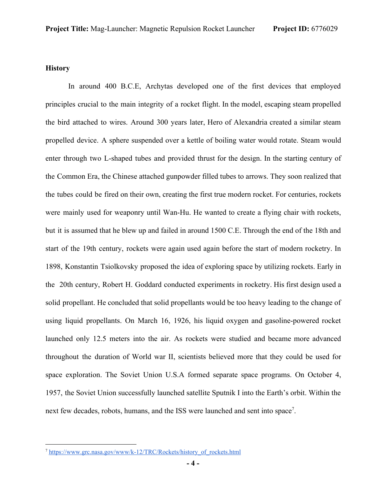## **History**

In around 400 B.C.E, Archytas developed one of the first devices that employed principles crucial to the main integrity of a rocket flight. In the model, escaping steam propelled the bird attached to wires. Around 300 years later, Hero of Alexandria created a similar steam propelled device. A sphere suspended over a kettle of boiling water would rotate. Steam would enter through two L-shaped tubes and provided thrust for the design. In the starting century of the Common Era, the Chinese attached gunpowder filled tubes to arrows. They soon realized that the tubes could be fired on their own, creating the first true modern rocket. For centuries, rockets were mainly used for weaponry until Wan-Hu. He wanted to create a flying chair with rockets, but it is assumed that he blew up and failed in around 1500 C.E. Through the end of the 18th and start of the 19th century, rockets were again used again before the start of modern rocketry. In 1898, Konstantin Tsiolkovsky proposed the idea of exploring space by utilizing rockets. Early in the 20th century, Robert H. Goddard conducted experiments in rocketry. His first design used a solid propellant. He concluded that solid propellants would be too heavy leading to the change of using liquid propellants. On March 16, 1926, his liquid oxygen and gasoline-powered rocket launched only 12.5 meters into the air. As rockets were studied and became more advanced throughout the duration of World war II, scientists believed more that they could be used for space exploration. The Soviet Union U.S.A formed separate space programs. On October 4, 1957, the Soviet Union successfully launched satellite Sputnik I into the Earth's orbit. Within the next few decades, robots, humans, and the ISS were launched and sent into space<sup>7</sup>.

<sup>7</sup> https://www.grc.nasa.gov/www/k-12/TRC/Rockets/history\_of\_rockets.html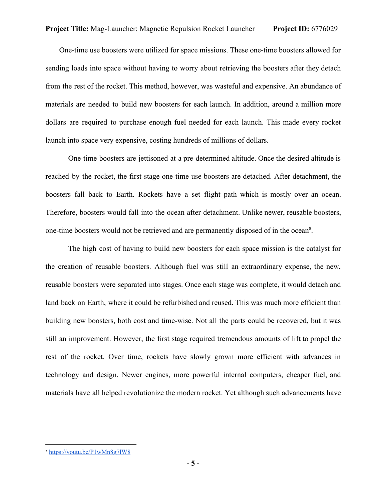One-time use boosters were utilized for space missions. These one-time boosters allowed for sending loads into space without having to worry about retrieving the boosters after they detach from the rest of the rocket. This method, however, was wasteful and expensive. An abundance of materials are needed to build new boosters for each launch. In addition, around a million more dollars are required to purchase enough fuel needed for each launch. This made every rocket launch into space very expensive, costing hundreds of millions of dollars.

One-time boosters are jettisoned at a pre-determined altitude. Once the desired altitude is reached by the rocket, the first-stage one-time use boosters are detached. After detachment, the boosters fall back to Earth. Rockets have a set flight path which is mostly over an ocean. Therefore, boosters would fall into the ocean after detachment. Unlike newer, reusable boosters, one-time boosters would not be retrieved and are permanently disposed of in the ocean<sup>8</sup>.

The high cost of having to build new boosters for each space mission is the catalyst for the creation of reusable boosters. Although fuel was still an extraordinary expense, the new, reusable boosters were separated into stages. Once each stage was complete, it would detach and land back on Earth, where it could be refurbished and reused. This was much more efficient than building new boosters, both cost and time-wise. Not all the parts could be recovered, but it was still an improvement. However, the first stage required tremendous amounts of lift to propel the rest of the rocket. Over time, rockets have slowly grown more efficient with advances in technology and design. Newer engines, more powerful internal computers, cheaper fuel, and materials have all helped revolutionize the modern rocket. Yet although such advancements have

<sup>8</sup> https://youtu.be/P1wMn8g7lW8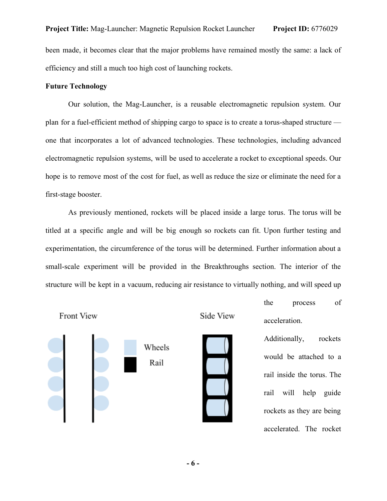efficiency and still a much too high cost of launching rockets.

#### **Future Technology**

Our solution, the Mag-Launcher, is a reusable electromagnetic repulsion system. Our plan for a fuel-efficient method of shipping cargo to space is to create a torus-shaped structure one that incorporates a lot of advanced technologies. These technologies, including advanced electromagnetic repulsion systems, will be used to accelerate a rocket to exceptional speeds. Our hope is to remove most of the cost for fuel, as well as reduce the size or eliminate the need for a first-stage booster.

As previously mentioned, rockets will be placed inside a large torus. The torus will be titled at a specific angle and will be big enough so rockets can fit. Upon further testing and experimentation, the circumference of the torus will be determined. Further information about a small-scale experiment will be provided in the Breakthroughs section. The interior of the structure will be kept in a vacuum, reducing air resistance to virtually nothing, and will speed up

Front View

i



the process of acceleration.

Additionally, rockets would be attached to a rail inside the torus. The rail will help guide rockets as they are being accelerated. The rocket





Wheels

Rail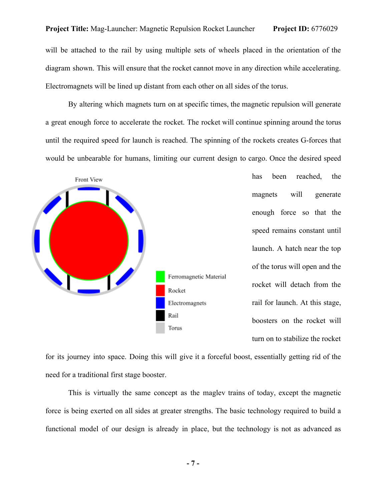#### **Project Title:** Mag-Launcher: Magnetic Repulsion Rocket Launcher **Project ID:** 6776029

will be attached to the rail by using multiple sets of wheels placed in the orientation of the diagram shown. This will ensure that the rocket cannot move in any direction while accelerating. Electromagnets will be lined up distant from each other on all sides of the torus.

By altering which magnets turn on at specific times, the magnetic repulsion will generate a great enough force to accelerate the rocket. The rocket will continue spinning around the torus until the required speed for launch is reached. The spinning of the rockets creates G-forces that would be unbearable for humans, limiting our current design to cargo. Once the desired speed



has been reached, the magnets will generate enough force so that the speed remains constant until launch. A hatch near the top of the torus will open and the rocket will detach from the rail for launch. At this stage, boosters on the rocket will turn on to stabilize the rocket

for its journey into space. Doing this will give it a forceful boost, essentially getting rid of the need for a traditional first stage booster.

This is virtually the same concept as the maglev trains of today, except the magnetic force is being exerted on all sides at greater strengths. The basic technology required to build a functional model of our design is already in place, but the technology is not as advanced as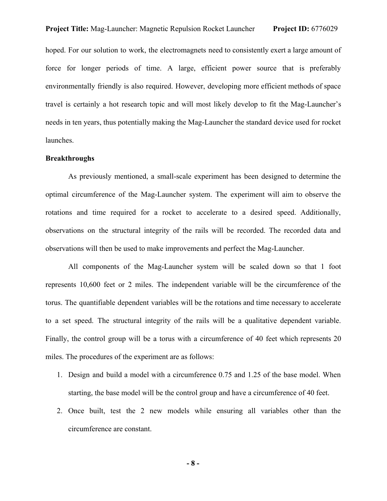## **Project Title:** Mag-Launcher: Magnetic Repulsion Rocket Launcher **Project ID:** 6776029

hoped. For our solution to work, the electromagnets need to consistently exert a large amount of force for longer periods of time. A large, efficient power source that is preferably environmentally friendly is also required. However, developing more efficient methods of space travel is certainly a hot research topic and will most likely develop to fit the Mag-Launcher's needs in ten years, thus potentially making the Mag-Launcher the standard device used for rocket launches.

#### **Breakthroughs**

As previously mentioned, a small-scale experiment has been designed to determine the optimal circumference of the Mag-Launcher system. The experiment will aim to observe the rotations and time required for a rocket to accelerate to a desired speed. Additionally, observations on the structural integrity of the rails will be recorded. The recorded data and observations will then be used to make improvements and perfect the Mag-Launcher.

All components of the Mag-Launcher system will be scaled down so that 1 foot represents 10,600 feet or 2 miles. The independent variable will be the circumference of the torus. The quantifiable dependent variables will be the rotations and time necessary to accelerate to a set speed. The structural integrity of the rails will be a qualitative dependent variable. Finally, the control group will be a torus with a circumference of 40 feet which represents 20 miles. The procedures of the experiment are as follows:

- 1. Design and build a model with a circumference 0.75 and 1.25 of the base model. When starting, the base model will be the control group and have a circumference of 40 feet.
- 2. Once built, test the 2 new models while ensuring all variables other than the circumference are constant.

**- 8 -**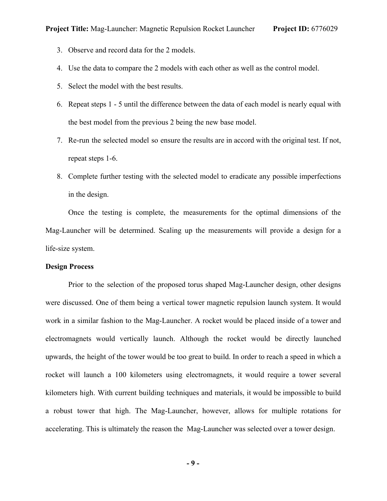- 3. Observe and record data for the 2 models.
- 4. Use the data to compare the 2 models with each other as well as the control model.
- 5. Select the model with the best results.
- 6. Repeat steps 1 5 until the difference between the data of each model is nearly equal with the best model from the previous 2 being the new base model.
- 7. Re-run the selected model so ensure the results are in accord with the original test. If not, repeat steps 1-6.
- 8. Complete further testing with the selected model to eradicate any possible imperfections in the design.

Once the testing is complete, the measurements for the optimal dimensions of the Mag-Launcher will be determined. Scaling up the measurements will provide a design for a life-size system.

#### **Design Process**

Prior to the selection of the proposed torus shaped Mag-Launcher design, other designs were discussed. One of them being a vertical tower magnetic repulsion launch system. It would work in a similar fashion to the Mag-Launcher. A rocket would be placed inside of a tower and electromagnets would vertically launch. Although the rocket would be directly launched upwards, the height of the tower would be too great to build. In order to reach a speed in which a rocket will launch a 100 kilometers using electromagnets, it would require a tower several kilometers high. With current building techniques and materials, it would be impossible to build a robust tower that high. The Mag-Launcher, however, allows for multiple rotations for accelerating. This is ultimately the reason the Mag-Launcher was selected over a tower design.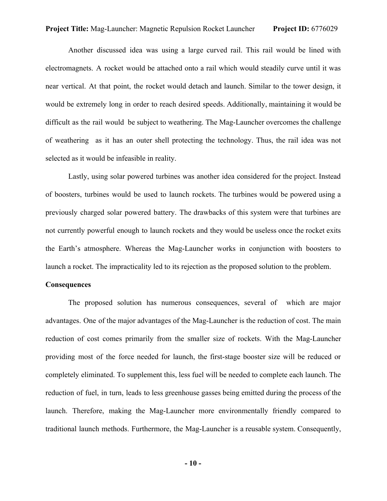Another discussed idea was using a large curved rail. This rail would be lined with electromagnets. A rocket would be attached onto a rail which would steadily curve until it was near vertical. At that point, the rocket would detach and launch. Similar to the tower design, it would be extremely long in order to reach desired speeds. Additionally, maintaining it would be difficult as the rail would be subject to weathering. The Mag-Launcher overcomes the challenge of weathering as it has an outer shell protecting the technology. Thus, the rail idea was not selected as it would be infeasible in reality.

Lastly, using solar powered turbines was another idea considered for the project. Instead of boosters, turbines would be used to launch rockets. The turbines would be powered using a previously charged solar powered battery. The drawbacks of this system were that turbines are not currently powerful enough to launch rockets and they would be useless once the rocket exits the Earth's atmosphere. Whereas the Mag-Launcher works in conjunction with boosters to launch a rocket. The impracticality led to its rejection as the proposed solution to the problem.

#### **Consequences**

The proposed solution has numerous consequences, several of which are major advantages. One of the major advantages of the Mag-Launcher is the reduction of cost. The main reduction of cost comes primarily from the smaller size of rockets. With the Mag-Launcher providing most of the force needed for launch, the first-stage booster size will be reduced or completely eliminated. To supplement this, less fuel will be needed to complete each launch. The reduction of fuel, in turn, leads to less greenhouse gasses being emitted during the process of the launch. Therefore, making the Mag-Launcher more environmentally friendly compared to traditional launch methods. Furthermore, the Mag-Launcher is a reusable system. Consequently,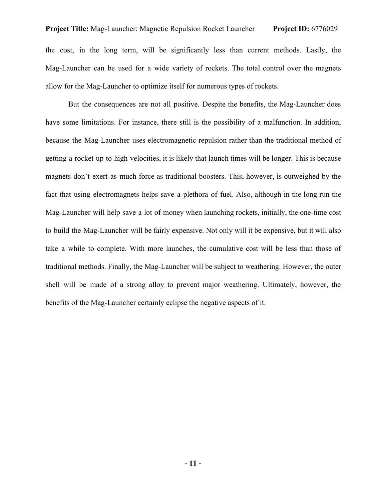# **Project Title:** Mag-Launcher: Magnetic Repulsion Rocket Launcher **Project ID:** 6776029

the cost, in the long term, will be significantly less than current methods. Lastly, the Mag-Launcher can be used for a wide variety of rockets. The total control over the magnets allow for the Mag-Launcher to optimize itself for numerous types of rockets.

But the consequences are not all positive. Despite the benefits, the Mag-Launcher does have some limitations. For instance, there still is the possibility of a malfunction. In addition, because the Mag-Launcher uses electromagnetic repulsion rather than the traditional method of getting a rocket up to high velocities, it is likely that launch times will be longer. This is because magnets don't exert as much force as traditional boosters. This, however, is outweighed by the fact that using electromagnets helps save a plethora of fuel. Also, although in the long run the Mag-Launcher will help save a lot of money when launching rockets, initially, the one-time cost to build the Mag-Launcher will be fairly expensive. Not only will it be expensive, but it will also take a while to complete. With more launches, the cumulative cost will be less than those of traditional methods. Finally, the Mag-Launcher will be subject to weathering. However, the outer shell will be made of a strong alloy to prevent major weathering. Ultimately, however, the benefits of the Mag-Launcher certainly eclipse the negative aspects of it.